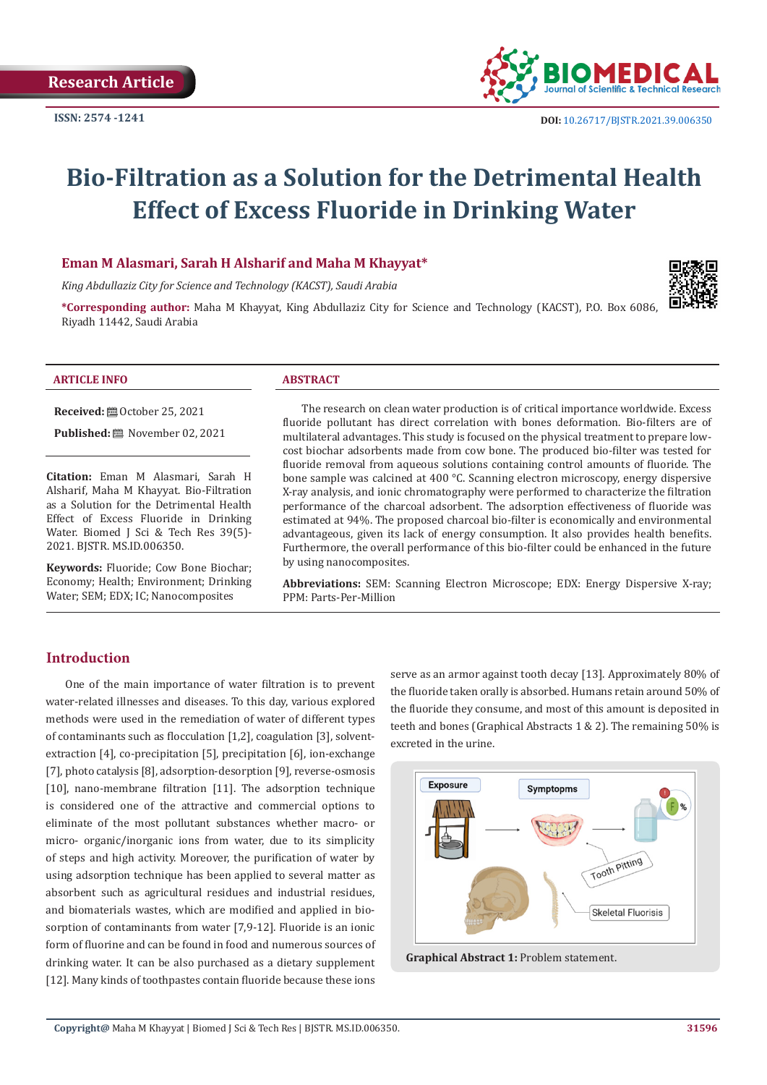

# **Bio-Filtration as a Solution for the Detrimental Health Effect of Excess Fluoride in Drinking Water**

#### **Eman M Alasmari, Sarah H Alsharif and Maha M Khayyat\***

*King Abdullaziz City for Science and Technology (KACST), Saudi Arabia*

**\*Corresponding author:** Maha M Khayyat, King Abdullaziz City for Science and Technology (KACST), P.O. Box 6086, Riyadh 11442, Saudi Arabia



#### **ARTICLE INFO ABSTRACT**

**Received:** ■ October 25, 2021

Published: **i** November 02, 2021

**Citation:** Eman M Alasmari, Sarah H Alsharif, Maha M Khayyat. Bio-Filtration as a Solution for the Detrimental Health Effect of Excess Fluoride in Drinking Water. Biomed J Sci & Tech Res 39(5)-2021. BJSTR. MS.ID.006350.

**Keywords:** Fluoride; Cow Bone Biochar; Economy; Health; Environment; Drinking Water; SEM; EDX; IC; Nanocomposites

The research on clean water production is of critical importance worldwide. Excess fluoride pollutant has direct correlation with bones deformation. Bio-filters are of multilateral advantages. This study is focused on the physical treatment to prepare lowcost biochar adsorbents made from cow bone. The produced bio-filter was tested for fluoride removal from aqueous solutions containing control amounts of fluoride. The bone sample was calcined at 400 °C. Scanning electron microscopy, energy dispersive X-ray analysis, and ionic chromatography were performed to characterize the filtration performance of the charcoal adsorbent. The adsorption effectiveness of fluoride was estimated at 94%. The proposed charcoal bio-filter is economically and environmental advantageous, given its lack of energy consumption. It also provides health benefits. Furthermore, the overall performance of this bio-filter could be enhanced in the future by using nanocomposites.

**Abbreviations:** SEM: Scanning Electron Microscope; EDX: Energy Dispersive X-ray; PPM: Parts-Per-Million

#### **Introduction**

One of the main importance of water filtration is to prevent water-related illnesses and diseases. To this day, various explored methods were used in the remediation of water of different types of contaminants such as flocculation [1,2], coagulation [3], solventextraction [4], co-precipitation [5], precipitation [6], ion-exchange [7], photo catalysis [8], adsorption-desorption [9], reverse-osmosis [10], nano-membrane filtration [11]. The adsorption technique is considered one of the attractive and commercial options to eliminate of the most pollutant substances whether macro- or micro- organic/inorganic ions from water, due to its simplicity of steps and high activity. Moreover, the purification of water by using adsorption technique has been applied to several matter as absorbent such as agricultural residues and industrial residues, and biomaterials wastes, which are modified and applied in biosorption of contaminants from water [7,9-12]. Fluoride is an ionic form of fluorine and can be found in food and numerous sources of drinking water. It can be also purchased as a dietary supplement [12]. Many kinds of toothpastes contain fluoride because these ions

serve as an armor against tooth decay [13]. Approximately 80% of the fluoride taken orally is absorbed. Humans retain around 50% of the fluoride they consume, and most of this amount is deposited in teeth and bones (Graphical Abstracts 1 & 2). The remaining 50% is excreted in the urine.



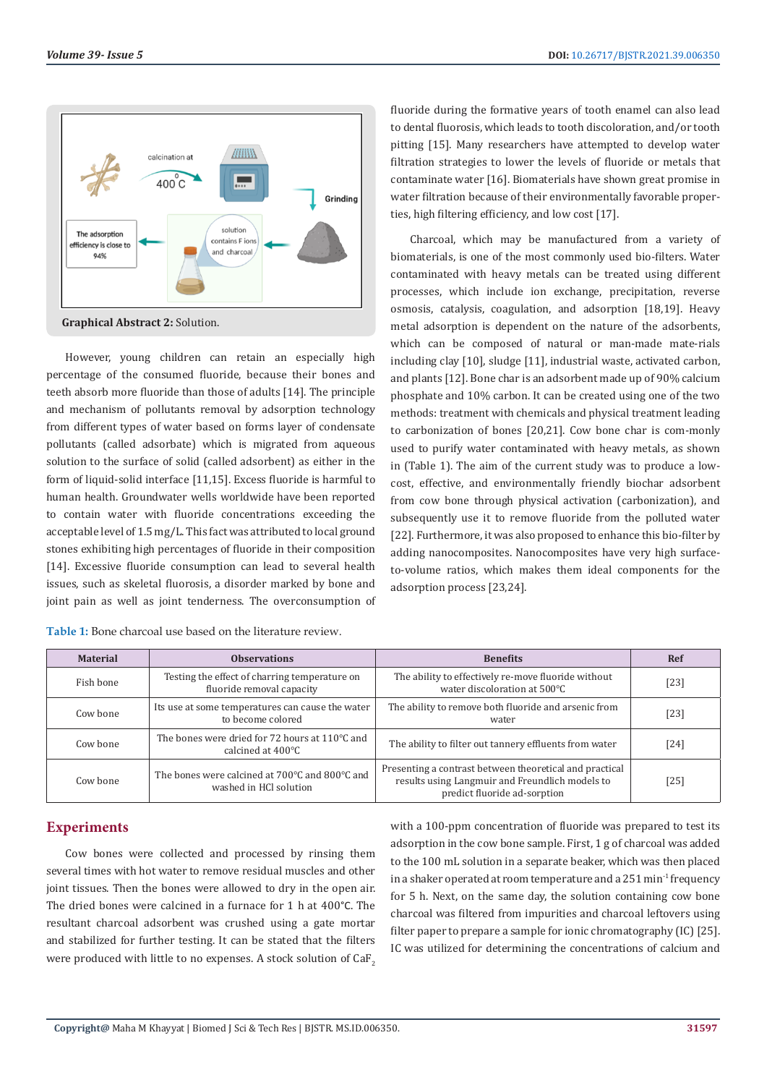

However, young children can retain an especially high percentage of the consumed fluoride, because their bones and teeth absorb more fluoride than those of adults [14]. The principle and mechanism of pollutants removal by adsorption technology from different types of water based on forms layer of condensate pollutants (called adsorbate) which is migrated from aqueous solution to the surface of solid (called adsorbent) as either in the form of liquid-solid interface [11,15]. Excess fluoride is harmful to human health. Groundwater wells worldwide have been reported to contain water with fluoride concentrations exceeding the acceptable level of 1.5 mg/L. This fact was attributed to local ground stones exhibiting high percentages of fluoride in their composition [14]. Excessive fluoride consumption can lead to several health issues, such as skeletal fluorosis, a disorder marked by bone and joint pain as well as joint tenderness. The overconsumption of

| <b>Table 1:</b> Bone charcoal use based on the literature review. |  |
|-------------------------------------------------------------------|--|
|-------------------------------------------------------------------|--|

fluoride during the formative years of tooth enamel can also lead to dental fluorosis, which leads to tooth discoloration, and/or tooth pitting [15]. Many researchers have attempted to develop water filtration strategies to lower the levels of fluoride or metals that contaminate water [16]. Biomaterials have shown great promise in water filtration because of their environmentally favorable properties, high filtering efficiency, and low cost [17].

Charcoal, which may be manufactured from a variety of biomaterials, is one of the most commonly used bio-filters. Water contaminated with heavy metals can be treated using different processes, which include ion exchange, precipitation, reverse osmosis, catalysis, coagulation, and adsorption [18,19]. Heavy metal adsorption is dependent on the nature of the adsorbents, which can be composed of natural or man-made mate-rials including clay [10], sludge [11], industrial waste, activated carbon, and plants [12]. Bone char is an adsorbent made up of 90% calcium phosphate and 10% carbon. It can be created using one of the two methods: treatment with chemicals and physical treatment leading to carbonization of bones [20,21]. Cow bone char is com-monly used to purify water contaminated with heavy metals, as shown in (Table 1). The aim of the current study was to produce a lowcost, effective, and environmentally friendly biochar adsorbent from cow bone through physical activation (carbonization), and subsequently use it to remove fluoride from the polluted water [22]. Furthermore, it was also proposed to enhance this bio-filter by adding nanocomposites. Nanocomposites have very high surfaceto-volume ratios, which makes them ideal components for the adsorption process [23,24].

| <b>Material</b> | <b>Observations</b>                                                           | <b>Benefits</b>                                                                                                                            | Ref    |
|-----------------|-------------------------------------------------------------------------------|--------------------------------------------------------------------------------------------------------------------------------------------|--------|
| Fish bone       | Testing the effect of charring temperature on<br>fluoride removal capacity    | The ability to effectively re-move fluoride without<br>water discoloration at 500°C                                                        | [23]   |
| Cow bone        | Its use at some temperatures can cause the water<br>to become colored         | The ability to remove both fluoride and arsenic from<br>water                                                                              | [23]   |
| Cow bone        | The bones were dried for 72 hours at 110°C and<br>calcined at $400^{\circ}$ C | The ability to filter out tannery effluents from water                                                                                     | [24]   |
| Cow bone        | The bones were calcined at 700°C and 800°C and<br>washed in HCl solution      | Presenting a contrast between theoretical and practical<br>results using Langmuir and Freundlich models to<br>predict fluoride ad-sorption | $[25]$ |

# **Experiments**

Cow bones were collected and processed by rinsing them several times with hot water to remove residual muscles and other joint tissues. Then the bones were allowed to dry in the open air. The dried bones were calcined in a furnace for 1 h at 400°C. The resultant charcoal adsorbent was crushed using a gate mortar and stabilized for further testing. It can be stated that the filters were produced with little to no expenses. A stock solution of CaF<sub>2</sub> with a 100-ppm concentration of fluoride was prepared to test its adsorption in the cow bone sample. First, 1 g of charcoal was added to the 100 mL solution in a separate beaker, which was then placed in a shaker operated at room temperature and a  $251$  min<sup>-1</sup> frequency for 5 h. Next, on the same day, the solution containing cow bone charcoal was filtered from impurities and charcoal leftovers using filter paper to prepare a sample for ionic chromatography (IC) [25]. IC was utilized for determining the concentrations of calcium and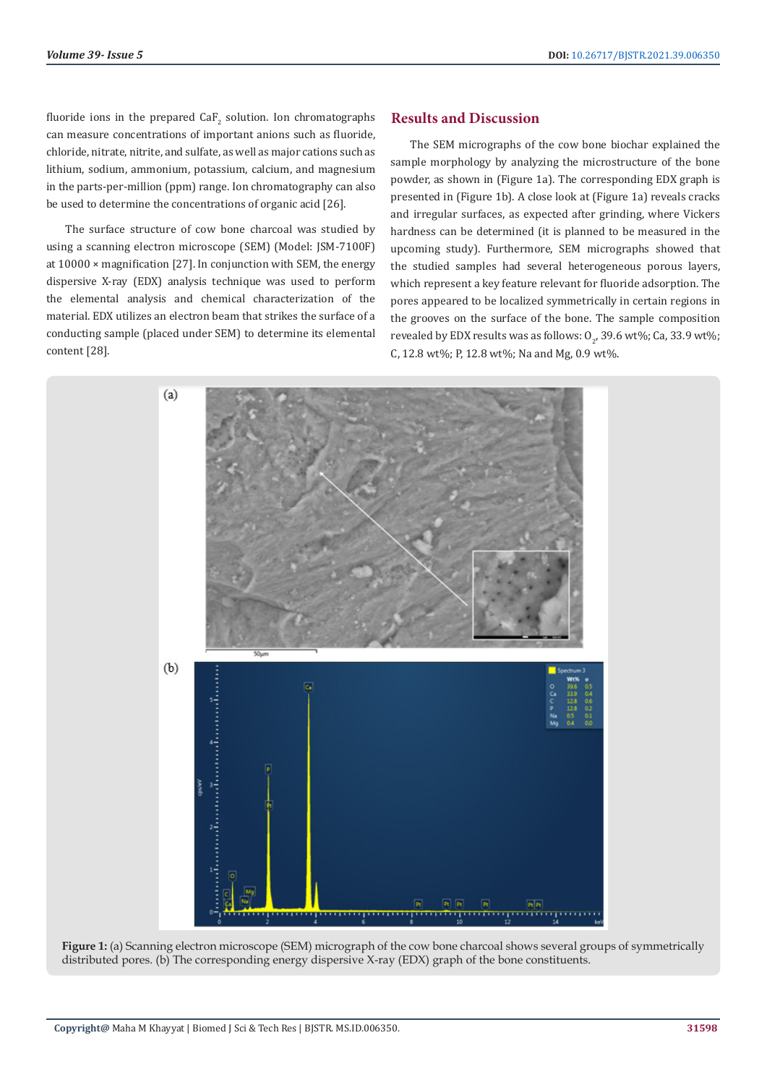fluoride ions in the prepared  $\operatorname{CaF}_{2}$  solution. Ion chromatographs can measure concentrations of important anions such as fluoride, chloride, nitrate, nitrite, and sulfate, as well as major cations such as lithium, sodium, ammonium, potassium, calcium, and magnesium in the parts-per-million (ppm) range. Ion chromatography can also be used to determine the concentrations of organic acid [26].

The surface structure of cow bone charcoal was studied by using a scanning electron microscope (SEM) (Model: JSM-7100F) at 10000 × magnification [27]. In conjunction with SEM, the energy dispersive X-ray (EDX) analysis technique was used to perform the elemental analysis and chemical characterization of the material. EDX utilizes an electron beam that strikes the surface of a conducting sample (placed under SEM) to determine its elemental content [28].

#### **Results and Discussion**

The SEM micrographs of the cow bone biochar explained the sample morphology by analyzing the microstructure of the bone powder, as shown in (Figure 1a). The corresponding EDX graph is presented in (Figure 1b). A close look at (Figure 1a) reveals cracks and irregular surfaces, as expected after grinding, where Vickers hardness can be determined (it is planned to be measured in the upcoming study). Furthermore, SEM micrographs showed that the studied samples had several heterogeneous porous layers, which represent a key feature relevant for fluoride adsorption. The pores appeared to be localized symmetrically in certain regions in the grooves on the surface of the bone. The sample composition revealed by EDX results was as follows:  $0_{2}$ , 39.6 wt%; Ca, 33.9 wt%; C, 12.8 wt%; P, 12.8 wt%; Na and Mg, 0.9 wt%.



**Figure 1:** (a) Scanning electron microscope (SEM) micrograph of the cow bone charcoal shows several groups of symmetrically distributed pores. (b) The corresponding energy dispersive X-ray (EDX) graph of the bone constituents.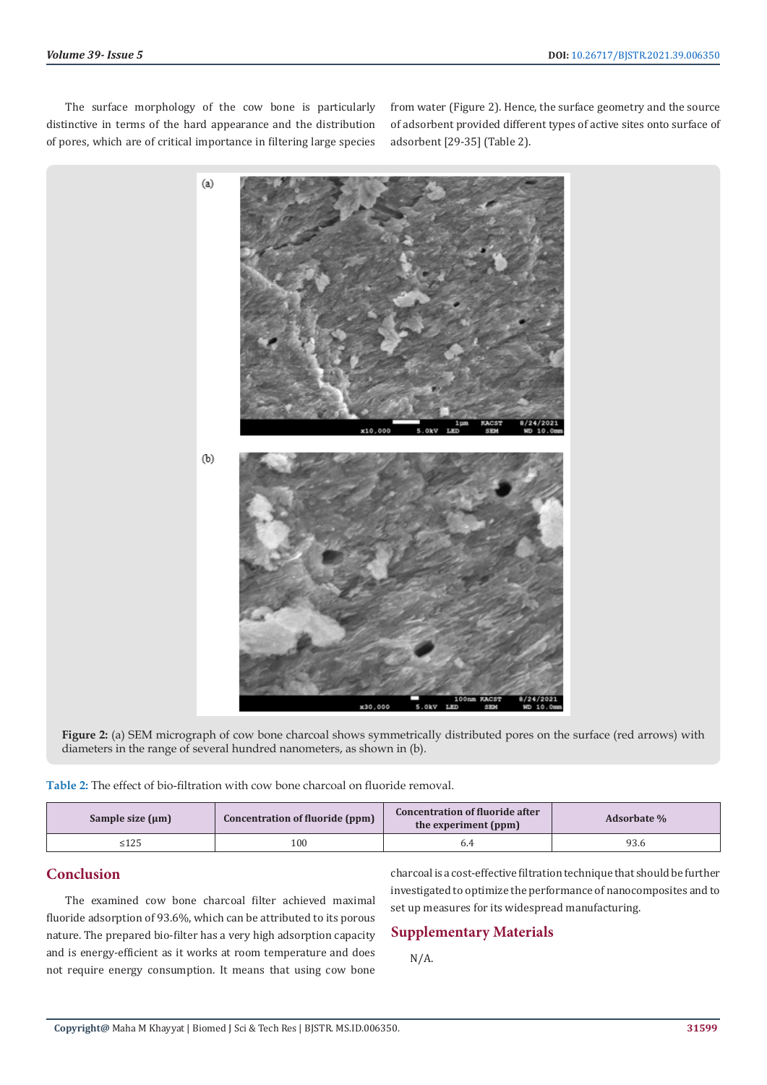The surface morphology of the cow bone is particularly distinctive in terms of the hard appearance and the distribution of pores, which are of critical importance in filtering large species from water (Figure 2). Hence, the surface geometry and the source of adsorbent provided different types of active sites onto surface of adsorbent [29-35] (Table 2).



**Figure 2:** (a) SEM micrograph of cow bone charcoal shows symmetrically distributed pores on the surface (red arrows) with diameters in the range of several hundred nanometers, as shown in (b).

**Table 2:** The effect of bio-filtration with cow bone charcoal on fluoride removal.

| Sample size $(\mu m)$ | Concentration of fluoride (ppm) | <b>Concentration of fluoride after</b><br>the experiment (ppm) | <b>Adsorbate</b> % |
|-----------------------|---------------------------------|----------------------------------------------------------------|--------------------|
|                       | 100                             |                                                                | 93.6               |

# **Conclusion**

The examined cow bone charcoal filter achieved maximal fluoride adsorption of 93.6%, which can be attributed to its porous nature. The prepared bio-filter has a very high adsorption capacity and is energy-efficient as it works at room temperature and does not require energy consumption. It means that using cow bone charcoal is a cost-effective filtration technique that should be further investigated to optimize the performance of nanocomposites and to set up measures for its widespread manufacturing.

# **Supplementary Materials**

N/A.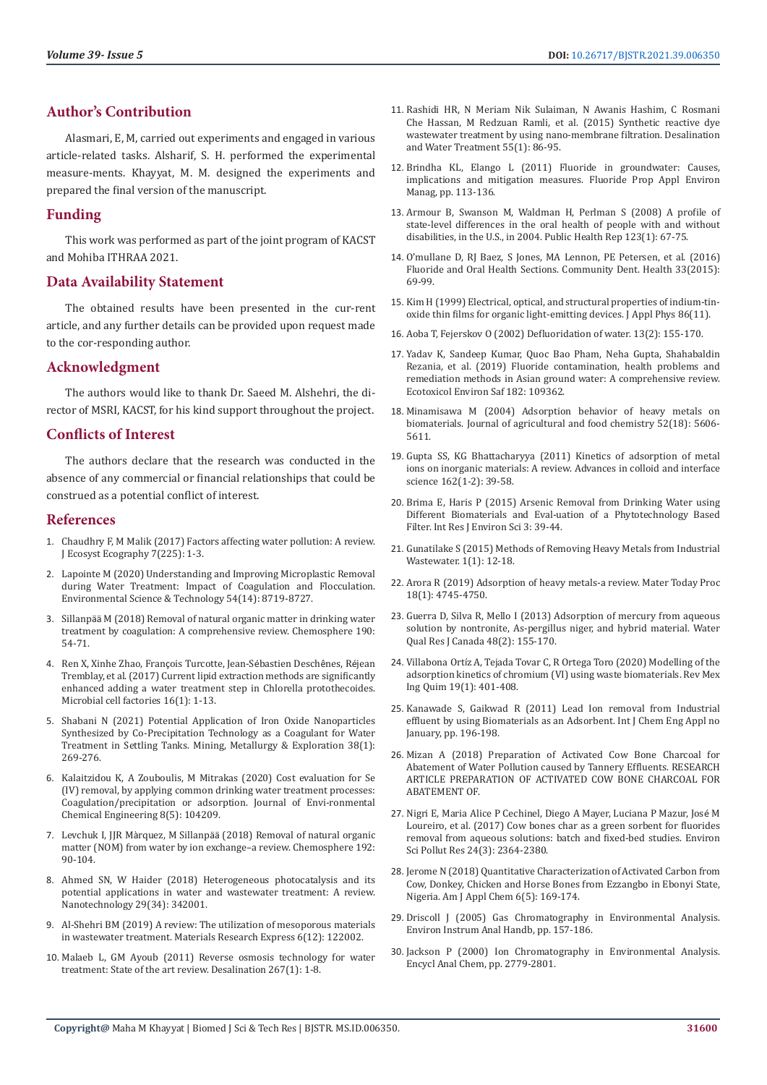# **Author's Contribution**

Alasmari, E, M, carried out experiments and engaged in various article-related tasks. Alsharif, S. H. performed the experimental measure-ments. Khayyat, M. M. designed the experiments and prepared the final version of the manuscript.

#### **Funding**

This work was performed as part of the joint program of KACST and Mohiba ITHRAA 2021.

#### **Data Availability Statement**

The obtained results have been presented in the cur-rent article, and any further details can be provided upon request made to the cor-responding author.

# **Acknowledgment**

The authors would like to thank Dr. Saeed M. Alshehri, the director of MSRI, KACST, for his kind support throughout the project.

# **Conflicts of Interest**

The authors declare that the research was conducted in the absence of any commercial or financial relationships that could be construed as a potential conflict of interest.

#### **References**

- 1. [Chaudhry F, M Malik \(2017\) Factors affecting water pollution: A review.](https://www.omicsonline.org/open-access/factors-affecting-water-pollution-a-review-2157-7625-1000225.php?aid=87940)  [J Ecosyst Ecography 7\(225\): 1-3.](https://www.omicsonline.org/open-access/factors-affecting-water-pollution-a-review-2157-7625-1000225.php?aid=87940)
- 2. Lapointe M (2020) Understanding and Improving Microplastic Removal during Water Treatment: Impact of Coagulation and Flocculation. Environmental Science & Technology 54(14): 8719-8727.
- 3. Sillanpää [M \(2018\) Removal of natural organic matter in drinking water](https://www.sciencedirect.com/science/article/abs/pii/S0045653517315382)  [treatment by coagulation: A comprehensive review. Chemosphere 190:](https://www.sciencedirect.com/science/article/abs/pii/S0045653517315382)  [54-71.](https://www.sciencedirect.com/science/article/abs/pii/S0045653517315382)
- 4. [Ren X, Xinhe Zhao, Fran](https://microbialcellfactories.biomedcentral.com/articles/10.1186/s12934-017-0633-9)çois Turcotte, Jean-Sébastien Deschênes, Réjean [Tremblay, et al. \(2017\) Current lipid extraction methods are significantly](https://microbialcellfactories.biomedcentral.com/articles/10.1186/s12934-017-0633-9)  [enhanced adding a water treatment step in Chlorella protothecoides.](https://microbialcellfactories.biomedcentral.com/articles/10.1186/s12934-017-0633-9)  [Microbial cell factories 16\(1\): 1-13.](https://microbialcellfactories.biomedcentral.com/articles/10.1186/s12934-017-0633-9)
- 5. [Shabani N \(2021\) Potential Application of Iron Oxide Nanoparticles](https://link.springer.com/article/10.1007/s42461-020-00338-y)  [Synthesized by Co-Precipitation Technology as a Coagulant for Water](https://link.springer.com/article/10.1007/s42461-020-00338-y)  [Treatment in Settling Tanks. Mining, Metallurgy & Exploration 38\(1\):](https://link.springer.com/article/10.1007/s42461-020-00338-y)  [269-276.](https://link.springer.com/article/10.1007/s42461-020-00338-y)
- 6. [Kalaitzidou K, A Zouboulis, M Mitrakas \(2020\) Cost evaluation for Se](https://www.sciencedirect.com/science/article/abs/pii/S2213343720305583)  [\(IV\) removal, by applying common drinking water treatment processes:](https://www.sciencedirect.com/science/article/abs/pii/S2213343720305583)  [Coagulation/precipitation or adsorption. Journal of Envi-ronmental](https://www.sciencedirect.com/science/article/abs/pii/S2213343720305583)  [Chemical Engineering 8\(5\): 104209.](https://www.sciencedirect.com/science/article/abs/pii/S2213343720305583)
- 7. Levchuk I, JJR Màrquez, M Sillanpää [\(2018\) Removal of natural organic](https://www.sciencedirect.com/science/article/abs/pii/S0045653517316867)  [matter \(NOM\) from water by ion exchange–a review. Chemosphere 192:](https://www.sciencedirect.com/science/article/abs/pii/S0045653517316867)  [90-104.](https://www.sciencedirect.com/science/article/abs/pii/S0045653517316867)
- 8. [Ahmed SN, W Haider \(2018\) Heterogeneous photocatalysis and its](https://pubmed.ncbi.nlm.nih.gov/29786601/)  [potential applications in water and wastewater treatment: A review.](https://pubmed.ncbi.nlm.nih.gov/29786601/)  [Nanotechnology 29\(34\): 342001.](https://pubmed.ncbi.nlm.nih.gov/29786601/)
- 9. [Al-Shehri BM \(2019\) A review: The utilization of mesoporous materials](https://iopscience.iop.org/article/10.1088/2053-1591/ab52af/meta)  [in wastewater treatment. Materials Research Express 6\(12\): 122002.](https://iopscience.iop.org/article/10.1088/2053-1591/ab52af/meta)
- 10. [Malaeb L, GM Ayoub \(2011\) Reverse osmosis technology for water](https://www.sciencedirect.com/science/article/abs/pii/S0011916410006351)  [treatment: State of the art review. Desalination 267\(1\): 1-8.](https://www.sciencedirect.com/science/article/abs/pii/S0011916410006351)
- 11. [Rashidi HR, N Meriam Nik Sulaiman, N Awanis Hashim, C Rosmani](https://www.tandfonline.com/doi/abs/10.1080/19443994.2014.912964) [Che Hassan, M Redzuan Ramli, et al. \(2015\) Synthetic reactive dye](https://www.tandfonline.com/doi/abs/10.1080/19443994.2014.912964) [wastewater treatment by using nano-membrane filtration. Desalination](https://www.tandfonline.com/doi/abs/10.1080/19443994.2014.912964) [and Water Treatment 55\(1\): 86-95.](https://www.tandfonline.com/doi/abs/10.1080/19443994.2014.912964)
- 12. [Brindha KL, Elango L \(2011\) Fluoride in groundwater: Causes,](https://www.researchgate.net/publication/220000345_Fluoride_in_Groundwater_Causes_Implications_and_Mitigation_Measures) [implications and mitigation measures. Fluoride Prop Appl Environ](https://www.researchgate.net/publication/220000345_Fluoride_in_Groundwater_Causes_Implications_and_Mitigation_Measures) [Manag, pp. 113-136.](https://www.researchgate.net/publication/220000345_Fluoride_in_Groundwater_Causes_Implications_and_Mitigation_Measures)
- 13. [Armour B, Swanson M, Waldman H, Perlman S \(2008\) A profile of](https://pubmed.ncbi.nlm.nih.gov/18348482/) [state-level differences in the oral health of people with and without](https://pubmed.ncbi.nlm.nih.gov/18348482/) [disabilities, in the U.S., in 2004. Public Health Rep 123\(1\): 67-75.](https://pubmed.ncbi.nlm.nih.gov/18348482/)
- 14. [O'mullane D, RJ Baez, S Jones, MA Lennon, PE Petersen, et al. \(2016\)](https://www.who.int/oral_health/publications/2016_fluoride_oral_health.pdf) [Fluoride and Oral Health Sections. Community Dent. Health 33\(2015\):](https://www.who.int/oral_health/publications/2016_fluoride_oral_health.pdf) [69-99.](https://www.who.int/oral_health/publications/2016_fluoride_oral_health.pdf)
- 15. [Kim H \(1999\) Electrical, optical, and structural properties of indium-tin](https://aip.scitation.org/doi/abs/10.1063/1.371708)[oxide thin films for organic light-emitting devices. J Appl Phys 86\(11\).](https://aip.scitation.org/doi/abs/10.1063/1.371708)
- 16. Aoba T, Fejerskov O (2002) Defluoridation of water. 13(2): 155-170.
- 17. [Yadav K, Sandeep Kumar, Quoc Bao Pham, Neha Gupta, Shahabaldin](https://www.sciencedirect.com/science/article/abs/pii/S0147651319306839) [Rezania, et al. \(2019\) Fluoride contamination, health problems and](https://www.sciencedirect.com/science/article/abs/pii/S0147651319306839) [remediation methods in Asian ground water: A comprehensive review.](https://www.sciencedirect.com/science/article/abs/pii/S0147651319306839) [Ecotoxicol Environ Saf 182: 109362.](https://www.sciencedirect.com/science/article/abs/pii/S0147651319306839)
- 18. [Minamisawa M \(2004\) Adsorption behavior of heavy metals on](https://www.researchgate.net/publication/8342357_Adsorption_Behavior_of_Heavy_Metals_on_Biomaterials) [biomaterials. Journal of agricultural and food chemistry 52\(18\): 5606-](https://www.researchgate.net/publication/8342357_Adsorption_Behavior_of_Heavy_Metals_on_Biomaterials) [5611.](https://www.researchgate.net/publication/8342357_Adsorption_Behavior_of_Heavy_Metals_on_Biomaterials)
- 19. [Gupta SS, KG Bhattacharyya \(2011\) Kinetics of adsorption of metal](https://www.sciencedirect.com/science/article/abs/pii/S0001868611000030) [ions on inorganic materials: A review. Advances in colloid and interface](https://www.sciencedirect.com/science/article/abs/pii/S0001868611000030) [science 162\(1-2\): 39-58.](https://www.sciencedirect.com/science/article/abs/pii/S0001868611000030)
- 20. [Brima E, Haris P \(2015\) Arsenic Removal from Drinking Water using](https://www.researchgate.net/publication/264159455_Arsenic_Removal_from_Drinking_Water_using_Different_Biomaterials_and_Evaluation_of_a_Phytotechnology_Based_Filter) [Different Biomaterials and Eval-uation of a Phytotechnology Based](https://www.researchgate.net/publication/264159455_Arsenic_Removal_from_Drinking_Water_using_Different_Biomaterials_and_Evaluation_of_a_Phytotechnology_Based_Filter) [Filter. Int Res J Environ Sci 3: 39-44.](https://www.researchgate.net/publication/264159455_Arsenic_Removal_from_Drinking_Water_using_Different_Biomaterials_and_Evaluation_of_a_Phytotechnology_Based_Filter)
- 21. [Gunatilake S \(2015\) Methods of Removing Heavy Metals from Industrial](https://www.researchgate.net/publication/287818349_Methods_of_Removing_Heavy_Metals_from_Industrial_Wastewater) [Wastewater. 1\(1\): 12-18.](https://www.researchgate.net/publication/287818349_Methods_of_Removing_Heavy_Metals_from_Industrial_Wastewater)
- 22. [Arora R \(2019\) Adsorption of heavy metals-a review. Mater Today Proc](https://www.sciencedirect.com/science/article/pii/S221478531932646X) [18\(1\): 4745-4750.](https://www.sciencedirect.com/science/article/pii/S221478531932646X)
- 23. [Guerra D, Silva R, Mello I \(2013\) Adsorption of mercury from aqueous](https://www.cabdirect.org/cabdirect/abstract/20133168971) [solution by nontronite, As-pergillus niger, and hybrid material. Water](https://www.cabdirect.org/cabdirect/abstract/20133168971) [Qual Res J Canada 48\(2\): 155-170.](https://www.cabdirect.org/cabdirect/abstract/20133168971)
- 24. Villabona Ortí[z A, Tejada Tovar C, R Ortega Toro \(2020\) Modelling of the](http://rmiq.org/ojs311/index.php/rmiq/article/view/650) [adsorption kinetics of chromium \(VI\) using waste biomaterials. Rev Mex](http://rmiq.org/ojs311/index.php/rmiq/article/view/650) [Ing Quim 19\(1\): 401-408.](http://rmiq.org/ojs311/index.php/rmiq/article/view/650)
- 25. [Kanawade S, Gaikwad R \(2011\) Lead Ion removal from Industrial](https://www.researchgate.net/publication/271305288_Lead_Ion_removal_from_Industrial_effluent_by_using_Biomaterials_as_an_Adsorbent) [effluent by using Biomaterials as an Adsorbent. Int J Chem Eng Appl no](https://www.researchgate.net/publication/271305288_Lead_Ion_removal_from_Industrial_effluent_by_using_Biomaterials_as_an_Adsorbent) [January, pp. 196-198.](https://www.researchgate.net/publication/271305288_Lead_Ion_removal_from_Industrial_effluent_by_using_Biomaterials_as_an_Adsorbent)
- 26. [Mizan A \(2018\) Preparation of Activated Cow Bone Charcoal for](https://www.journalcra.com/article/preparation-activated-cow-bone-charcoal-abatement-water-pollution-caused-tannery-effluents) [Abatement of Water Pollution caused by Tannery Effluents. RESEARCH](https://www.journalcra.com/article/preparation-activated-cow-bone-charcoal-abatement-water-pollution-caused-tannery-effluents) [ARTICLE PREPARATION OF ACTIVATED COW BONE CHARCOAL FOR](https://www.journalcra.com/article/preparation-activated-cow-bone-charcoal-abatement-water-pollution-caused-tannery-effluents) [ABATEMENT OF.](https://www.journalcra.com/article/preparation-activated-cow-bone-charcoal-abatement-water-pollution-caused-tannery-effluents)
- 27. [Nigri E, Maria Alice P Cechinel, Diego A Mayer, Luciana P Mazur, Jos](https://link.springer.com/article/10.1007/s11356-016-7816-5)é M [Loureiro, et al. \(2017\) Cow bones char as a green sorbent for fluorides](https://link.springer.com/article/10.1007/s11356-016-7816-5) [removal from aqueous solutions: batch and fixed-bed studies. Environ](https://link.springer.com/article/10.1007/s11356-016-7816-5) [Sci Pollut Res 24\(3\): 2364-2380.](https://link.springer.com/article/10.1007/s11356-016-7816-5)
- 28. [Jerome N \(2018\) Quantitative Characterization of Activated Carbon from](http://www.sciencepublishinggroup.com/journal/paperinfo?journalid=227&doi=10.11648/j.ajac.20180605.12) [Cow, Donkey, Chicken and Horse Bones from Ezzangbo in Ebonyi State,](http://www.sciencepublishinggroup.com/journal/paperinfo?journalid=227&doi=10.11648/j.ajac.20180605.12) [Nigeria. Am J Appl Chem 6\(5\): 169-174.](http://www.sciencepublishinggroup.com/journal/paperinfo?journalid=227&doi=10.11648/j.ajac.20180605.12)
- 29. Driscoll J (2005) Gas Chromatography in Environmental Analysis. Environ Instrum Anal Handb, pp. 157-186.
- 30. [Jackson P \(2000\) Ion Chromatography in Environmental Analysis.](https://onlinelibrary.wiley.com/doi/10.1002/9780470027318.a0835) [Encycl Anal Chem, pp. 2779-2801.](https://onlinelibrary.wiley.com/doi/10.1002/9780470027318.a0835)